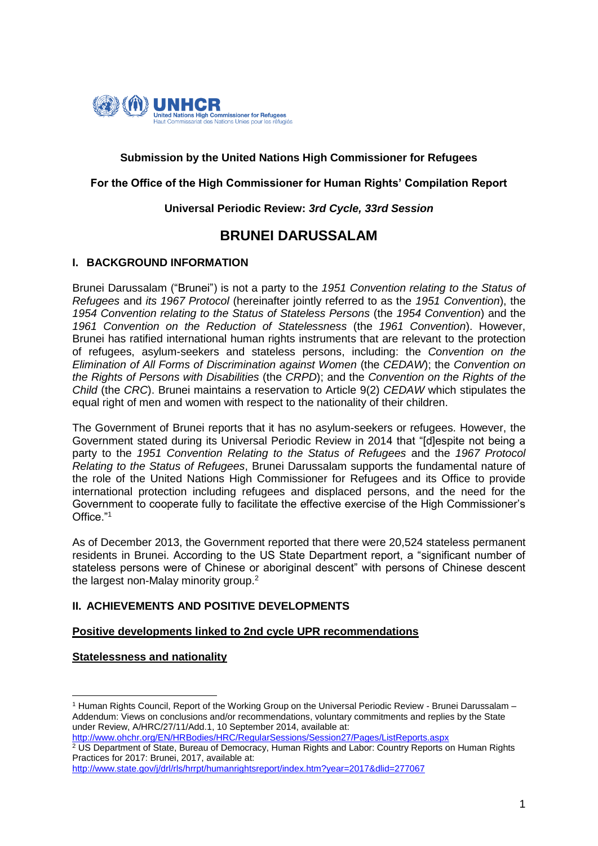

## **Submission by the United Nations High Commissioner for Refugees**

### **For the Office of the High Commissioner for Human Rights' Compilation Report**

### **Universal Periodic Review:** *3rd Cycle, 33rd Session*

# **BRUNEI DARUSSALAM**

### **I. BACKGROUND INFORMATION**

Brunei Darussalam ("Brunei") is not a party to the *1951 Convention relating to the Status of Refugees* and *its 1967 Protocol* (hereinafter jointly referred to as the *1951 Convention*), the *1954 Convention relating to the Status of Stateless Persons* (the *1954 Convention*) and the *1961 Convention on the Reduction of Statelessness* (the *1961 Convention*). However, Brunei has ratified international human rights instruments that are relevant to the protection of refugees, asylum-seekers and stateless persons, including: the *Convention on the Elimination of All Forms of Discrimination against Women* (the *CEDAW*); the *Convention on the Rights of Persons with Disabilities* (the *CRPD*); and the *Convention on the Rights of the Child* (the *CRC*). Brunei maintains a reservation to Article 9(2) *CEDAW* which stipulates the equal right of men and women with respect to the nationality of their children.

The Government of Brunei reports that it has no asylum-seekers or refugees. However, the Government stated during its Universal Periodic Review in 2014 that "[d]espite not being a party to the *1951 Convention Relating to the Status of Refugees* and the *1967 Protocol Relating to the Status of Refugees*, Brunei Darussalam supports the fundamental nature of the role of the United Nations High Commissioner for Refugees and its Office to provide international protection including refugees and displaced persons, and the need for the Government to cooperate fully to facilitate the effective exercise of the High Commissioner's Office<sup>"1</sup>

As of December 2013, the Government reported that there were 20,524 stateless permanent residents in Brunei. According to the US State Department report, a "significant number of stateless persons were of Chinese or aboriginal descent" with persons of Chinese descent the largest non-Malay minority group.<sup>2</sup>

### **II. ACHIEVEMENTS AND POSITIVE DEVELOPMENTS**

### **Positive developments linked to 2nd cycle UPR recommendations**

### **Statelessness and nationality**

<http://www.ohchr.org/EN/HRBodies/HRC/RegularSessions/Session27/Pages/ListReports.aspx>  $\frac{2}{3}$  US Department of State, Bureau of Democracy, Human Rights and Labor: Country Reports on Human Rights Practices for 2017: Brunei, 2017, available at:

<http://www.state.gov/j/drl/rls/hrrpt/humanrightsreport/index.htm?year=2017&dlid=277067>

<sup>1</sup> <sup>1</sup> Human Rights Council, Report of the Working Group on the Universal Periodic Review - Brunei Darussalam – Addendum: Views on conclusions and/or recommendations, voluntary commitments and replies by the State under Review, A/HRC/27/11/Add.1, 10 September 2014, available at: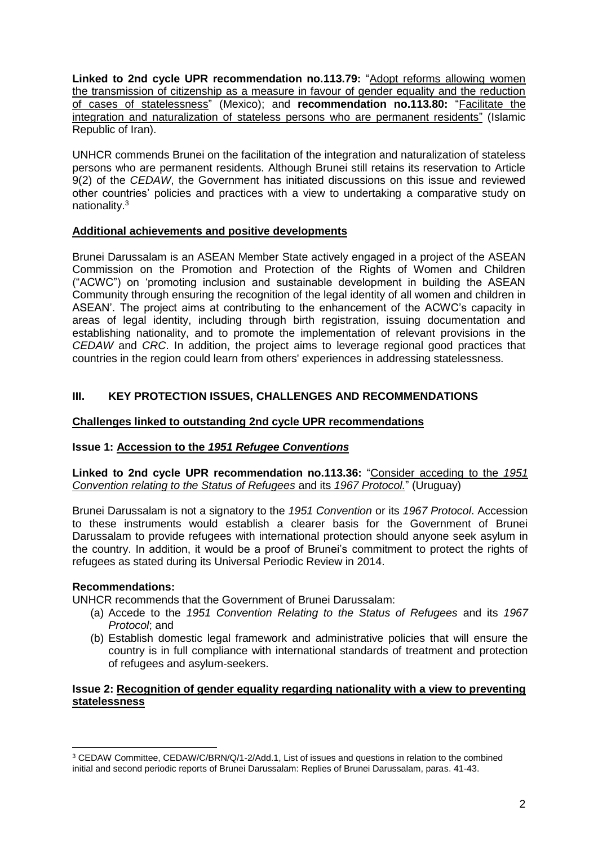**Linked to 2nd cycle UPR recommendation no.113.79:** "Adopt reforms allowing women the transmission of citizenship as a measure in favour of gender equality and the reduction of cases of statelessness" (Mexico); and **recommendation no.113.80:** "Facilitate the integration and naturalization of stateless persons who are permanent residents" (Islamic Republic of Iran).

UNHCR commends Brunei on the facilitation of the integration and naturalization of stateless persons who are permanent residents. Although Brunei still retains its reservation to Article 9(2) of the *CEDAW*, the Government has initiated discussions on this issue and reviewed other countries' policies and practices with a view to undertaking a comparative study on nationality.<sup>3</sup>

## **Additional achievements and positive developments**

Brunei Darussalam is an ASEAN Member State actively engaged in a project of the ASEAN Commission on the Promotion and Protection of the Rights of Women and Children ("ACWC") on 'promoting inclusion and sustainable development in building the ASEAN Community through ensuring the recognition of the legal identity of all women and children in ASEAN'. The project aims at contributing to the enhancement of the ACWC's capacity in areas of legal identity, including through birth registration, issuing documentation and establishing nationality, and to promote the implementation of relevant provisions in the *CEDAW* and *CRC*. In addition, the project aims to leverage regional good practices that countries in the region could learn from others' experiences in addressing statelessness.

## **III. KEY PROTECTION ISSUES, CHALLENGES AND RECOMMENDATIONS**

## **Challenges linked to outstanding 2nd cycle UPR recommendations**

## **Issue 1: Accession to the** *1951 Refugee Conventions*

**Linked to 2nd cycle UPR recommendation no.113.36:** "Consider acceding to the *1951 Convention relating to the Status of Refugees* and its *1967 Protocol.*" (Uruguay)

Brunei Darussalam is not a signatory to the *1951 Convention* or its *1967 Protocol*. Accession to these instruments would establish a clearer basis for the Government of Brunei Darussalam to provide refugees with international protection should anyone seek asylum in the country. In addition, it would be a proof of Brunei's commitment to protect the rights of refugees as stated during its Universal Periodic Review in 2014.

### **Recommendations:**

UNHCR recommends that the Government of Brunei Darussalam:

- (a) Accede to the *1951 Convention Relating to the Status of Refugees* and its *1967 Protocol*; and
- (b) Establish domestic legal framework and administrative policies that will ensure the country is in full compliance with international standards of treatment and protection of refugees and asylum-seekers.

### **Issue 2: Recognition of gender equality regarding nationality with a view to preventing statelessness**

<sup>1</sup> <sup>3</sup> CEDAW Committee, CEDAW/C/BRN/Q/1-2/Add.1, List of issues and questions in relation to the combined initial and second periodic reports of Brunei Darussalam: Replies of Brunei Darussalam, paras. 41-43.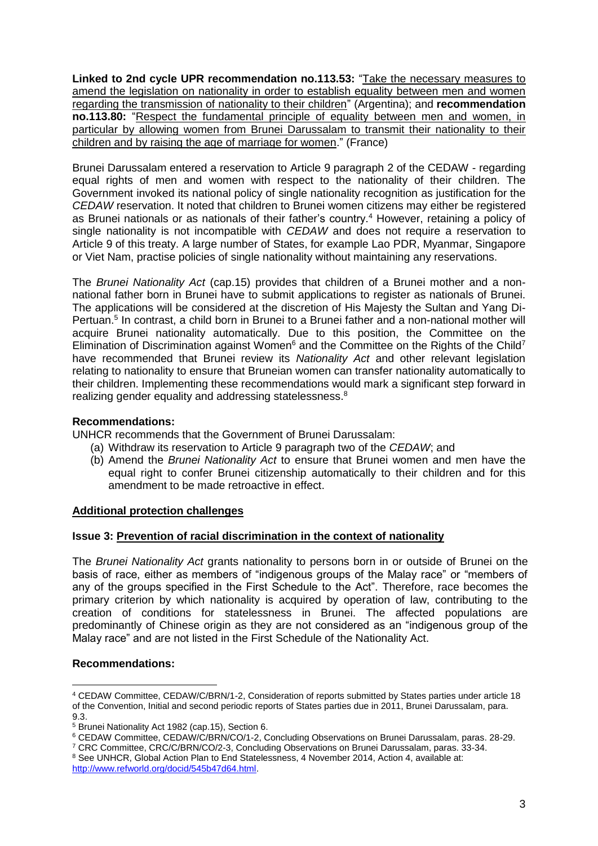**Linked to 2nd cycle UPR recommendation no.113.53:** "Take the necessary measures to amend the legislation on nationality in order to establish equality between men and women regarding the transmission of nationality to their children" (Argentina); and **recommendation no.113.80:** "Respect the fundamental principle of equality between men and women, in particular by allowing women from Brunei Darussalam to transmit their nationality to their children and by raising the age of marriage for women." (France)

Brunei Darussalam entered a reservation to Article 9 paragraph 2 of the CEDAW - regarding equal rights of men and women with respect to the nationality of their children. The Government invoked its national policy of single nationality recognition as justification for the *CEDAW* reservation. It noted that children to Brunei women citizens may either be registered as Brunei nationals or as nationals of their father's country.<sup>4</sup> However, retaining a policy of single nationality is not incompatible with *CEDAW* and does not require a reservation to Article 9 of this treaty. A large number of States, for example Lao PDR, Myanmar, Singapore or Viet Nam, practise policies of single nationality without maintaining any reservations.

The *Brunei Nationality Act* (cap.15) provides that children of a Brunei mother and a nonnational father born in Brunei have to submit applications to register as nationals of Brunei. The applications will be considered at the discretion of His Majesty the Sultan and Yang Di-Pertuan.<sup>5</sup> In contrast, a child born in Brunei to a Brunei father and a non-national mother will acquire Brunei nationality automatically. Due to this position, the Committee on the Elimination of Discrimination against Women<sup>6</sup> and the Committee on the Rights of the Child<sup>7</sup> have recommended that Brunei review its *Nationality Act* and other relevant legislation relating to nationality to ensure that Bruneian women can transfer nationality automatically to their children. Implementing these recommendations would mark a significant step forward in realizing gender equality and addressing statelessness.<sup>8</sup>

### **Recommendations:**

UNHCR recommends that the Government of Brunei Darussalam:

- (a) Withdraw its reservation to Article 9 paragraph two of the *CEDAW*; and
- (b) Amend the *Brunei Nationality Act* to ensure that Brunei women and men have the equal right to confer Brunei citizenship automatically to their children and for this amendment to be made retroactive in effect.

### **Additional protection challenges**

### **Issue 3: Prevention of racial discrimination in the context of nationality**

The *Brunei Nationality Act* grants nationality to persons born in or outside of Brunei on the basis of race, either as members of "indigenous groups of the Malay race" or "members of any of the groups specified in the First Schedule to the Act". Therefore, race becomes the primary criterion by which nationality is acquired by operation of law, contributing to the creation of conditions for statelessness in Brunei. The affected populations are predominantly of Chinese origin as they are not considered as an "indigenous group of the Malay race" and are not listed in the First Schedule of the Nationality Act.

### **Recommendations:**

**<sup>.</sup>** <sup>4</sup> CEDAW Committee, CEDAW/C/BRN/1-2, Consideration of reports submitted by States parties under article 18 of the Convention, Initial and second periodic reports of States parties due in 2011, Brunei Darussalam, para.  $9.3$ 

<sup>5</sup> Brunei Nationality Act 1982 (cap.15), Section 6.

<sup>&</sup>lt;sup>6</sup> CEDAW Committee, CEDAW/C/BRN/CO/1-2, Concluding Observations on Brunei Darussalam, paras. 28-29.

<sup>7</sup> CRC Committee, CRC/C/BRN/CO/2-3, Concluding Observations on Brunei Darussalam, paras. 33-34.

<sup>&</sup>lt;sup>8</sup> See UNHCR, Global Action Plan to End Statelessness, 4 November 2014, Action 4, available at: [http://www.refworld.org/docid/545b47d64.html.](http://www.refworld.org/docid/545b47d64.html)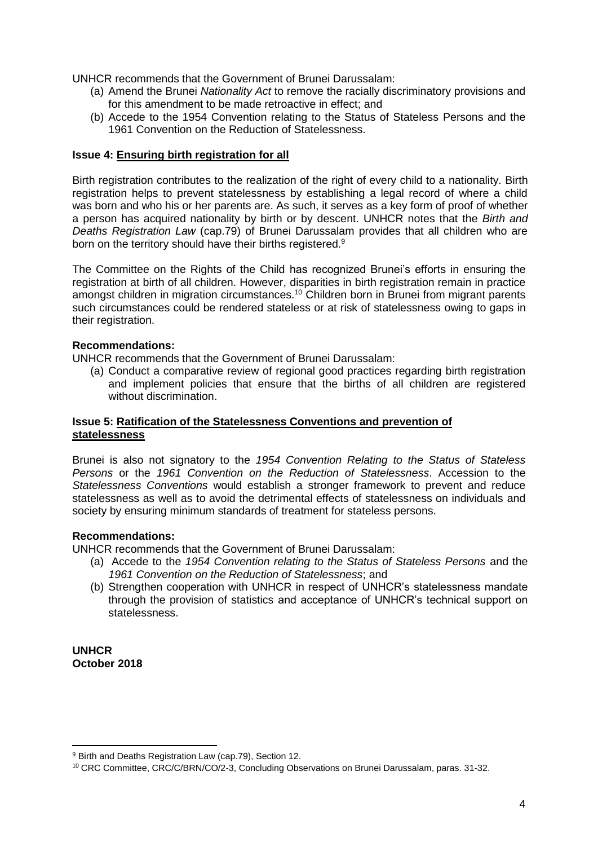UNHCR recommends that the Government of Brunei Darussalam:

- (a) Amend the Brunei *Nationality Act* to remove the racially discriminatory provisions and for this amendment to be made retroactive in effect; and
- (b) Accede to the 1954 Convention relating to the Status of Stateless Persons and the 1961 Convention on the Reduction of Statelessness.

### **Issue 4: Ensuring birth registration for all**

Birth registration contributes to the realization of the right of every child to a nationality. Birth registration helps to prevent statelessness by establishing a legal record of where a child was born and who his or her parents are. As such, it serves as a key form of proof of whether a person has acquired nationality by birth or by descent. UNHCR notes that the *Birth and Deaths Registration Law* (cap.79) of Brunei Darussalam provides that all children who are born on the territory should have their births registered.<sup>9</sup>

The Committee on the Rights of the Child has recognized Brunei's efforts in ensuring the registration at birth of all children. However, disparities in birth registration remain in practice amongst children in migration circumstances.<sup>10</sup> Children born in Brunei from migrant parents such circumstances could be rendered stateless or at risk of statelessness owing to gaps in their registration.

### **Recommendations:**

UNHCR recommends that the Government of Brunei Darussalam:

(a) Conduct a comparative review of regional good practices regarding birth registration and implement policies that ensure that the births of all children are registered without discrimination.

### **Issue 5: Ratification of the Statelessness Conventions and prevention of statelessness**

Brunei is also not signatory to the *1954 Convention Relating to the Status of Stateless Persons* or the *1961 Convention on the Reduction of Statelessness*. Accession to the *Statelessness Conventions* would establish a stronger framework to prevent and reduce statelessness as well as to avoid the detrimental effects of statelessness on individuals and society by ensuring minimum standards of treatment for stateless persons.

### **Recommendations:**

UNHCR recommends that the Government of Brunei Darussalam:

- (a) Accede to the *1954 Convention relating to the Status of Stateless Persons* and the *1961 Convention on the Reduction of Statelessness*; and
- (b) Strengthen cooperation with UNHCR in respect of UNHCR's statelessness mandate through the provision of statistics and acceptance of UNHCR's technical support on statelessness.

**UNHCR October 2018**

 $\overline{a}$ 

<sup>9</sup> Birth and Deaths Registration Law (cap.79), Section 12.

<sup>10</sup> CRC Committee, CRC/C/BRN/CO/2-3, Concluding Observations on Brunei Darussalam, paras. 31-32.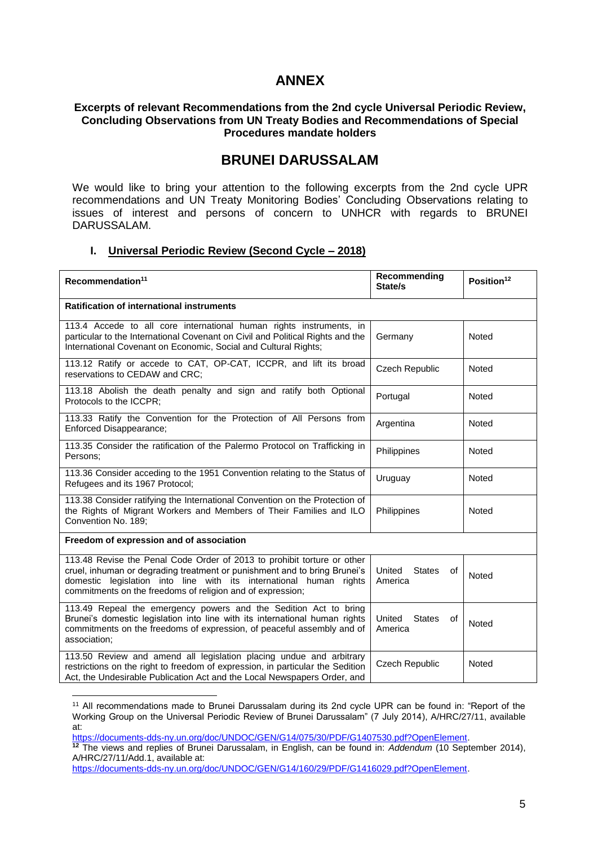# **ANNEX**

### **Excerpts of relevant Recommendations from the 2nd cycle Universal Periodic Review, Concluding Observations from UN Treaty Bodies and Recommendations of Special Procedures mandate holders**

## **BRUNEI DARUSSALAM**

We would like to bring your attention to the following excerpts from the 2nd cycle UPR recommendations and UN Treaty Monitoring Bodies' Concluding Observations relating to issues of interest and persons of concern to UNHCR with regards to BRUNEI DARUSSALAM.

### **I. Universal Periodic Review (Second Cycle – 2018)**

| Recommendation <sup>11</sup>                                                                                                                                                                                                                                                                | Recommending<br>State/s                  | Position <sup>12</sup> |  |
|---------------------------------------------------------------------------------------------------------------------------------------------------------------------------------------------------------------------------------------------------------------------------------------------|------------------------------------------|------------------------|--|
| <b>Ratification of international instruments</b>                                                                                                                                                                                                                                            |                                          |                        |  |
| 113.4 Accede to all core international human rights instruments, in<br>particular to the International Covenant on Civil and Political Rights and the<br>International Covenant on Economic, Social and Cultural Rights;                                                                    | Germany                                  | Noted                  |  |
| 113.12 Ratify or accede to CAT, OP-CAT, ICCPR, and lift its broad<br>reservations to CEDAW and CRC;                                                                                                                                                                                         | <b>Czech Republic</b>                    | <b>Noted</b>           |  |
| 113.18 Abolish the death penalty and sign and ratify both Optional<br>Protocols to the ICCPR;                                                                                                                                                                                               | Portugal                                 | Noted                  |  |
| 113.33 Ratify the Convention for the Protection of All Persons from<br>Enforced Disappearance;                                                                                                                                                                                              | Argentina                                | <b>Noted</b>           |  |
| 113.35 Consider the ratification of the Palermo Protocol on Trafficking in<br>Persons:                                                                                                                                                                                                      | Philippines                              | Noted                  |  |
| 113.36 Consider acceding to the 1951 Convention relating to the Status of<br>Refugees and its 1967 Protocol;                                                                                                                                                                                | Uruguay                                  | <b>Noted</b>           |  |
| 113.38 Consider ratifying the International Convention on the Protection of<br>the Rights of Migrant Workers and Members of Their Families and ILO<br>Convention No. 189;                                                                                                                   | Philippines                              | Noted                  |  |
| Freedom of expression and of association                                                                                                                                                                                                                                                    |                                          |                        |  |
| 113.48 Revise the Penal Code Order of 2013 to prohibit torture or other<br>cruel, inhuman or degrading treatment or punishment and to bring Brunei's<br>domestic legislation into line with its international human<br>rights<br>commitments on the freedoms of religion and of expression; | United<br><b>States</b><br>of<br>America | Noted                  |  |
| 113.49 Repeal the emergency powers and the Sedition Act to bring<br>Brunei's domestic legislation into line with its international human rights<br>commitments on the freedoms of expression, of peaceful assembly and of<br>association;                                                   | United<br><b>States</b><br>of<br>America | Noted                  |  |
| 113.50 Review and amend all legislation placing undue and arbitrary<br>restrictions on the right to freedom of expression, in particular the Sedition<br>Act, the Undesirable Publication Act and the Local Newspapers Order, and                                                           | Czech Republic                           | Noted                  |  |

<sup>&</sup>lt;sup>11</sup> All recommendations made to Brunei Darussalam during its 2nd cycle UPR can be found in: "Report of the Working Group on the Universal Periodic Review of Brunei Darussalam" (7 July 2014), A/HRC/27/11, available at:

[https://documents-dds-ny.un.org/doc/UNDOC/GEN/G14/075/30/PDF/G1407530.pdf?OpenElement.](https://documents-dds-ny.un.org/doc/UNDOC/GEN/G14/075/30/PDF/G1407530.pdf?OpenElement)

1

**<sup>12</sup>** The views and replies of Brunei Darussalam, in English, can be found in: *Addendum* (10 September 2014), A/HRC/27/11/Add.1, available at:

[https://documents-dds-ny.un.org/doc/UNDOC/GEN/G14/160/29/PDF/G1416029.pdf?OpenElement.](https://documents-dds-ny.un.org/doc/UNDOC/GEN/G14/160/29/PDF/G1416029.pdf?OpenElement)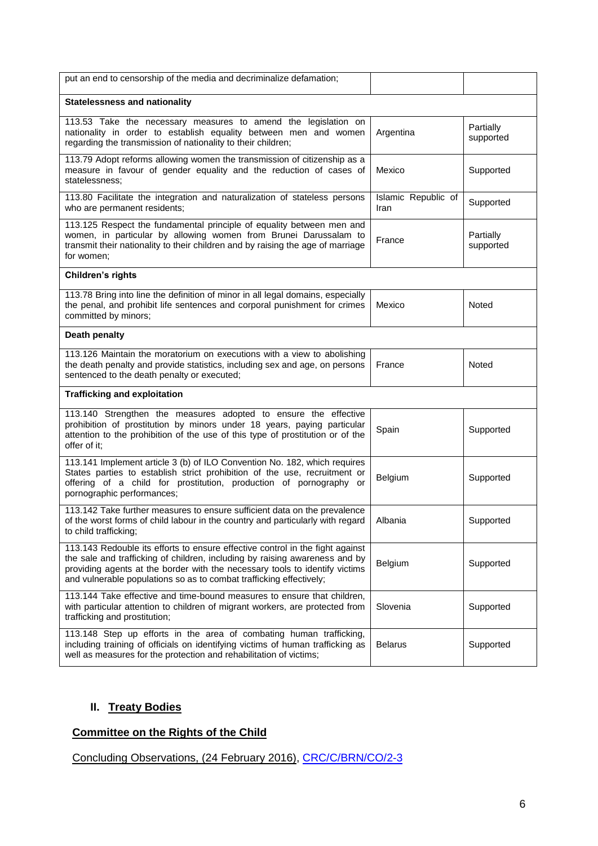| put an end to censorship of the media and decriminalize defamation;                                                                                                                                                                                                                                                |                             |                        |  |
|--------------------------------------------------------------------------------------------------------------------------------------------------------------------------------------------------------------------------------------------------------------------------------------------------------------------|-----------------------------|------------------------|--|
| <b>Statelessness and nationality</b>                                                                                                                                                                                                                                                                               |                             |                        |  |
| 113.53 Take the necessary measures to amend the legislation on<br>nationality in order to establish equality between men and women<br>regarding the transmission of nationality to their children;                                                                                                                 | Argentina                   | Partially<br>supported |  |
| 113.79 Adopt reforms allowing women the transmission of citizenship as a<br>measure in favour of gender equality and the reduction of cases of<br>statelessness:                                                                                                                                                   | Mexico                      | Supported              |  |
| 113.80 Facilitate the integration and naturalization of stateless persons<br>who are permanent residents;                                                                                                                                                                                                          | Islamic Republic of<br>Iran | Supported              |  |
| 113.125 Respect the fundamental principle of equality between men and<br>women, in particular by allowing women from Brunei Darussalam to<br>transmit their nationality to their children and by raising the age of marriage<br>for women;                                                                         | France                      | Partially<br>supported |  |
| Children's rights                                                                                                                                                                                                                                                                                                  |                             |                        |  |
| 113.78 Bring into line the definition of minor in all legal domains, especially<br>the penal, and prohibit life sentences and corporal punishment for crimes<br>committed by minors;                                                                                                                               | Mexico                      | Noted                  |  |
| Death penalty                                                                                                                                                                                                                                                                                                      |                             |                        |  |
| 113.126 Maintain the moratorium on executions with a view to abolishing<br>the death penalty and provide statistics, including sex and age, on persons<br>sentenced to the death penalty or executed;                                                                                                              | France                      | Noted                  |  |
| <b>Trafficking and exploitation</b>                                                                                                                                                                                                                                                                                |                             |                        |  |
| 113.140 Strengthen the measures adopted to ensure the effective<br>prohibition of prostitution by minors under 18 years, paying particular<br>attention to the prohibition of the use of this type of prostitution or of the<br>offer of it;                                                                       | Spain                       | Supported              |  |
| 113.141 Implement article 3 (b) of ILO Convention No. 182, which requires<br>States parties to establish strict prohibition of the use, recruitment or<br>offering of a child for prostitution, production of pornography or<br>pornographic performances;                                                         | Belgium                     | Supported              |  |
| 113.142 Take further measures to ensure sufficient data on the prevalence<br>of the worst forms of child labour in the country and particularly with regard<br>to child trafficking;                                                                                                                               | Albania                     | Supported              |  |
| 113.143 Redouble its efforts to ensure effective control in the fight against<br>the sale and trafficking of children, including by raising awareness and by<br>providing agents at the border with the necessary tools to identify victims<br>and vulnerable populations so as to combat trafficking effectively; | Belgium                     | Supported              |  |
| 113.144 Take effective and time-bound measures to ensure that children,<br>with particular attention to children of migrant workers, are protected from<br>trafficking and prostitution;                                                                                                                           | Slovenia                    | Supported              |  |
| 113.148 Step up efforts in the area of combating human trafficking,<br>including training of officials on identifying victims of human trafficking as<br>well as measures for the protection and rehabilitation of victims;                                                                                        | <b>Belarus</b>              | Supported              |  |

# **II. Treaty Bodies**

# **Committee on the Rights of the Child**

Concluding Observations, (24 February 2016), [CRC/C/BRN/CO/2-3](file:///C:/Users/TRUSCAN/Documents/UPR33/LoE/Brunei_CRC_2016.pdf)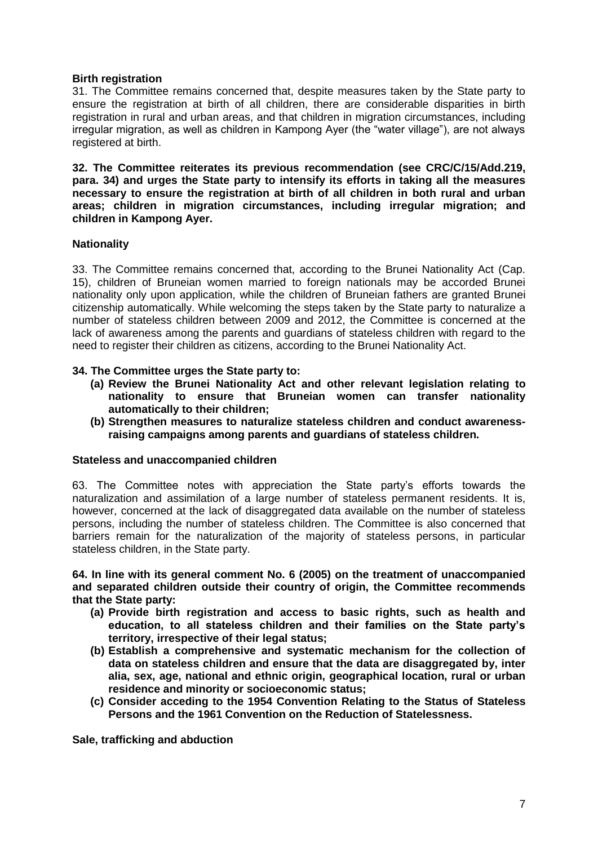### **Birth registration**

31. The Committee remains concerned that, despite measures taken by the State party to ensure the registration at birth of all children, there are considerable disparities in birth registration in rural and urban areas, and that children in migration circumstances, including irregular migration, as well as children in Kampong Ayer (the "water village"), are not always registered at birth.

**32. The Committee reiterates its previous recommendation (see CRC/C/15/Add.219, para. 34) and urges the State party to intensify its efforts in taking all the measures necessary to ensure the registration at birth of all children in both rural and urban areas; children in migration circumstances, including irregular migration; and children in Kampong Ayer.** 

### **Nationality**

33. The Committee remains concerned that, according to the Brunei Nationality Act (Cap. 15), children of Bruneian women married to foreign nationals may be accorded Brunei nationality only upon application, while the children of Bruneian fathers are granted Brunei citizenship automatically. While welcoming the steps taken by the State party to naturalize a number of stateless children between 2009 and 2012, the Committee is concerned at the lack of awareness among the parents and guardians of stateless children with regard to the need to register their children as citizens, according to the Brunei Nationality Act.

### **34. The Committee urges the State party to:**

- **(a) Review the Brunei Nationality Act and other relevant legislation relating to nationality to ensure that Bruneian women can transfer nationality automatically to their children;**
- **(b) Strengthen measures to naturalize stateless children and conduct awarenessraising campaigns among parents and guardians of stateless children.**

### **Stateless and unaccompanied children**

63. The Committee notes with appreciation the State party's efforts towards the naturalization and assimilation of a large number of stateless permanent residents. It is, however, concerned at the lack of disaggregated data available on the number of stateless persons, including the number of stateless children. The Committee is also concerned that barriers remain for the naturalization of the majority of stateless persons, in particular stateless children, in the State party.

**64. In line with its general comment No. 6 (2005) on the treatment of unaccompanied and separated children outside their country of origin, the Committee recommends that the State party:** 

- **(a) Provide birth registration and access to basic rights, such as health and education, to all stateless children and their families on the State party's territory, irrespective of their legal status;**
- **(b) Establish a comprehensive and systematic mechanism for the collection of data on stateless children and ensure that the data are disaggregated by, inter alia, sex, age, national and ethnic origin, geographical location, rural or urban residence and minority or socioeconomic status;**
- **(c) Consider acceding to the 1954 Convention Relating to the Status of Stateless Persons and the 1961 Convention on the Reduction of Statelessness.**

**Sale, trafficking and abduction**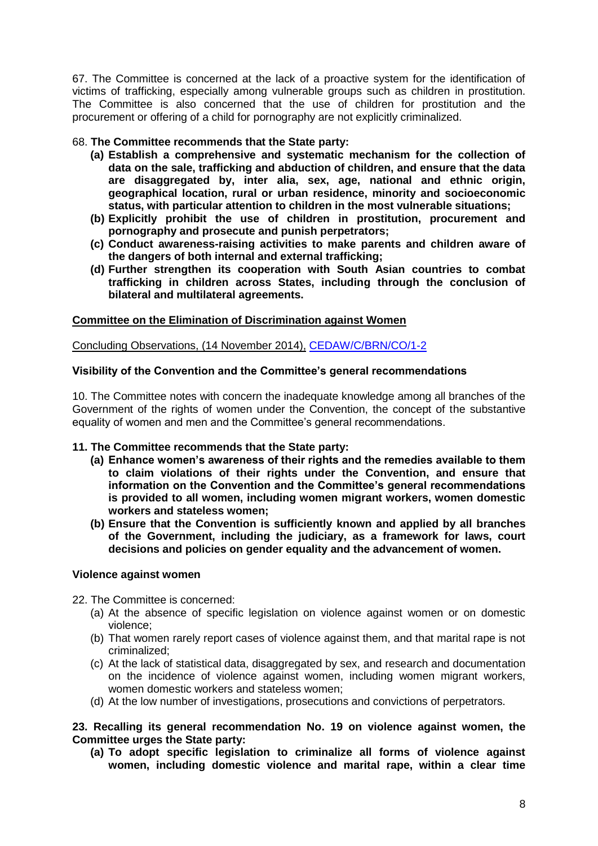67. The Committee is concerned at the lack of a proactive system for the identification of victims of trafficking, especially among vulnerable groups such as children in prostitution. The Committee is also concerned that the use of children for prostitution and the procurement or offering of a child for pornography are not explicitly criminalized.

## 68. **The Committee recommends that the State party:**

- **(a) Establish a comprehensive and systematic mechanism for the collection of data on the sale, trafficking and abduction of children, and ensure that the data are disaggregated by, inter alia, sex, age, national and ethnic origin, geographical location, rural or urban residence, minority and socioeconomic status, with particular attention to children in the most vulnerable situations;**
- **(b) Explicitly prohibit the use of children in prostitution, procurement and pornography and prosecute and punish perpetrators;**
- **(c) Conduct awareness-raising activities to make parents and children aware of the dangers of both internal and external trafficking;**
- **(d) Further strengthen its cooperation with South Asian countries to combat trafficking in children across States, including through the conclusion of bilateral and multilateral agreements.**

## **Committee on the Elimination of Discrimination against Women**

Concluding Observations, (14 November 2014), [CEDAW/C/BRN/CO/1-2](file:///C:/Users/TRUSCAN/Documents/UPR33/LoE/Brunei_CEDAW_2014.pdf)

### **Visibility of the Convention and the Committee's general recommendations**

10. The Committee notes with concern the inadequate knowledge among all branches of the Government of the rights of women under the Convention, the concept of the substantive equality of women and men and the Committee's general recommendations.

### **11. The Committee recommends that the State party:**

- **(a) Enhance women's awareness of their rights and the remedies available to them to claim violations of their rights under the Convention, and ensure that information on the Convention and the Committee's general recommendations is provided to all women, including women migrant workers, women domestic workers and stateless women;**
- **(b) Ensure that the Convention is sufficiently known and applied by all branches of the Government, including the judiciary, as a framework for laws, court decisions and policies on gender equality and the advancement of women.**

### **Violence against women**

- 22. The Committee is concerned:
	- (a) At the absence of specific legislation on violence against women or on domestic violence;
	- (b) That women rarely report cases of violence against them, and that marital rape is not criminalized;
	- (c) At the lack of statistical data, disaggregated by sex, and research and documentation on the incidence of violence against women, including women migrant workers, women domestic workers and stateless women;
	- (d) At the low number of investigations, prosecutions and convictions of perpetrators.

### **23. Recalling its general recommendation No. 19 on violence against women, the Committee urges the State party:**

**(a) To adopt specific legislation to criminalize all forms of violence against women, including domestic violence and marital rape, within a clear time**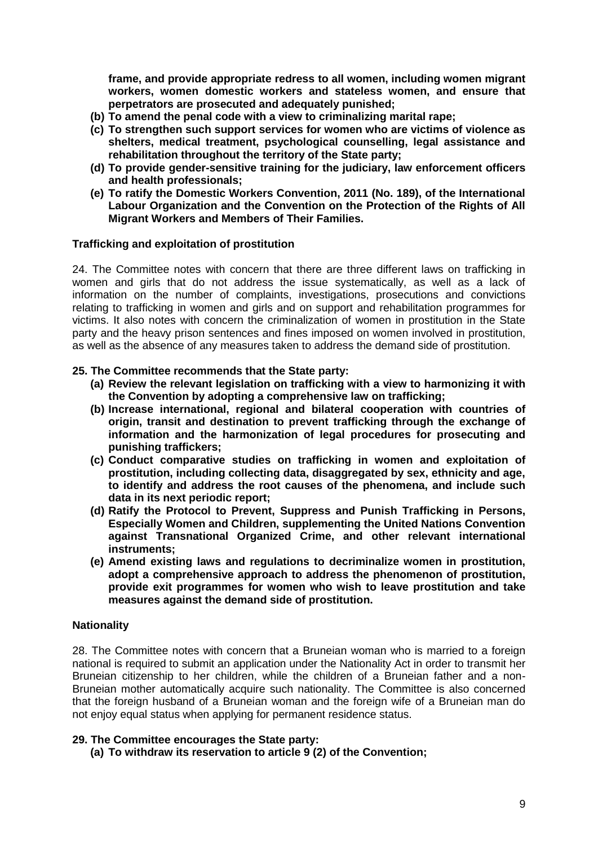**frame, and provide appropriate redress to all women, including women migrant workers, women domestic workers and stateless women, and ensure that perpetrators are prosecuted and adequately punished;** 

- **(b) To amend the penal code with a view to criminalizing marital rape;**
- **(c) To strengthen such support services for women who are victims of violence as shelters, medical treatment, psychological counselling, legal assistance and rehabilitation throughout the territory of the State party;**
- **(d) To provide gender-sensitive training for the judiciary, law enforcement officers and health professionals;**
- **(e) To ratify the Domestic Workers Convention, 2011 (No. 189), of the International Labour Organization and the Convention on the Protection of the Rights of All Migrant Workers and Members of Their Families.**

### **Trafficking and exploitation of prostitution**

24. The Committee notes with concern that there are three different laws on trafficking in women and girls that do not address the issue systematically, as well as a lack of information on the number of complaints, investigations, prosecutions and convictions relating to trafficking in women and girls and on support and rehabilitation programmes for victims. It also notes with concern the criminalization of women in prostitution in the State party and the heavy prison sentences and fines imposed on women involved in prostitution, as well as the absence of any measures taken to address the demand side of prostitution.

### **25. The Committee recommends that the State party:**

- **(a) Review the relevant legislation on trafficking with a view to harmonizing it with the Convention by adopting a comprehensive law on trafficking;**
- **(b) Increase international, regional and bilateral cooperation with countries of origin, transit and destination to prevent trafficking through the exchange of information and the harmonization of legal procedures for prosecuting and punishing traffickers;**
- **(c) Conduct comparative studies on trafficking in women and exploitation of prostitution, including collecting data, disaggregated by sex, ethnicity and age, to identify and address the root causes of the phenomena, and include such data in its next periodic report;**
- **(d) Ratify the Protocol to Prevent, Suppress and Punish Trafficking in Persons, Especially Women and Children, supplementing the United Nations Convention against Transnational Organized Crime, and other relevant international instruments;**
- **(e) Amend existing laws and regulations to decriminalize women in prostitution, adopt a comprehensive approach to address the phenomenon of prostitution, provide exit programmes for women who wish to leave prostitution and take measures against the demand side of prostitution.**

### **Nationality**

28. The Committee notes with concern that a Bruneian woman who is married to a foreign national is required to submit an application under the Nationality Act in order to transmit her Bruneian citizenship to her children, while the children of a Bruneian father and a non-Bruneian mother automatically acquire such nationality. The Committee is also concerned that the foreign husband of a Bruneian woman and the foreign wife of a Bruneian man do not enjoy equal status when applying for permanent residence status.

### **29. The Committee encourages the State party:**

**(a) To withdraw its reservation to article 9 (2) of the Convention;**